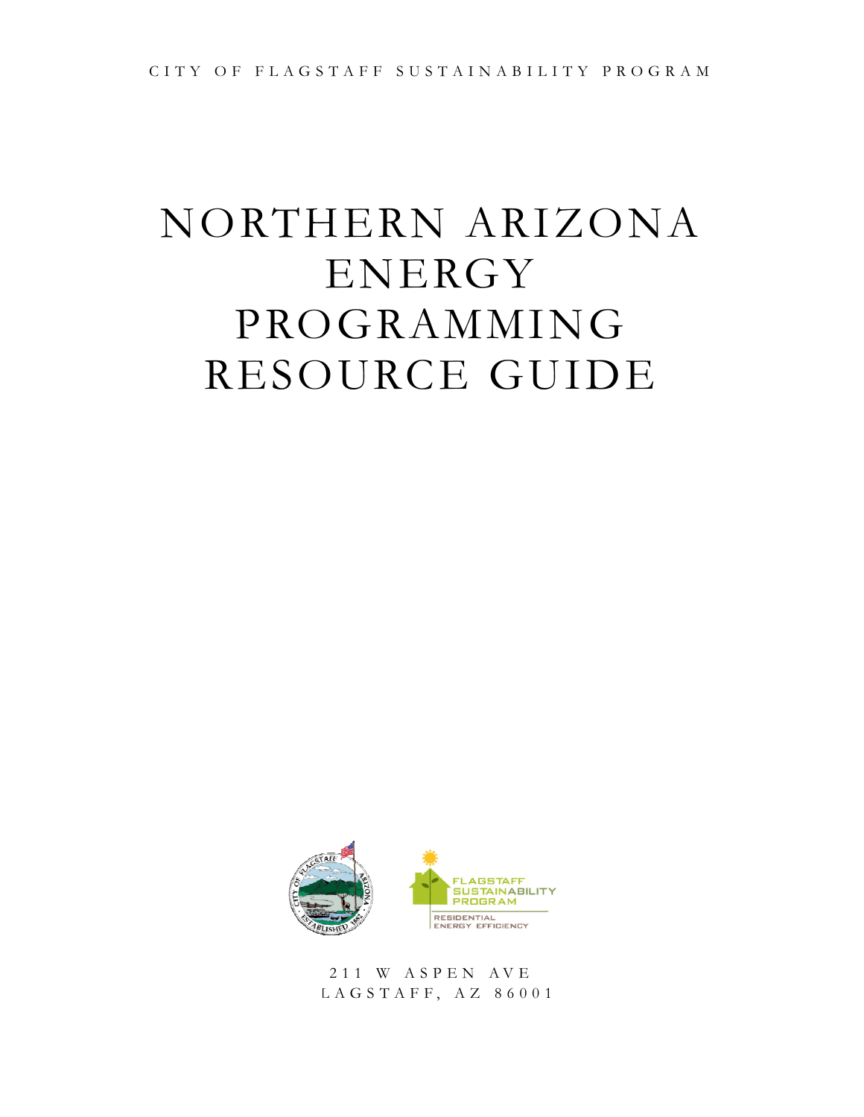# NORTHERN ARIZONA PROGRAMMING RESOURCE GUIDE ENERGY ITY OF FLAGSTAFF SUSTAINABILITY PROGRAM<br>
NORTHERN ARIZONA<br>
ENERGY<br>
PROGRAMMING<br>
RESOURCE GUIDE STAINABILITY PROGRAM<br>
RGY<br>
HARTZONA<br>
FLAGENAME<br>
FREE GUIDE<br>
FREE AVE<br>
FREE AVE<br>
FREE AVE<br>
FREE AVE<br>
FREE AVE



F L A G S T A F F , A Z 8 6 0 0 1 2 1 1 W A S P E N A V E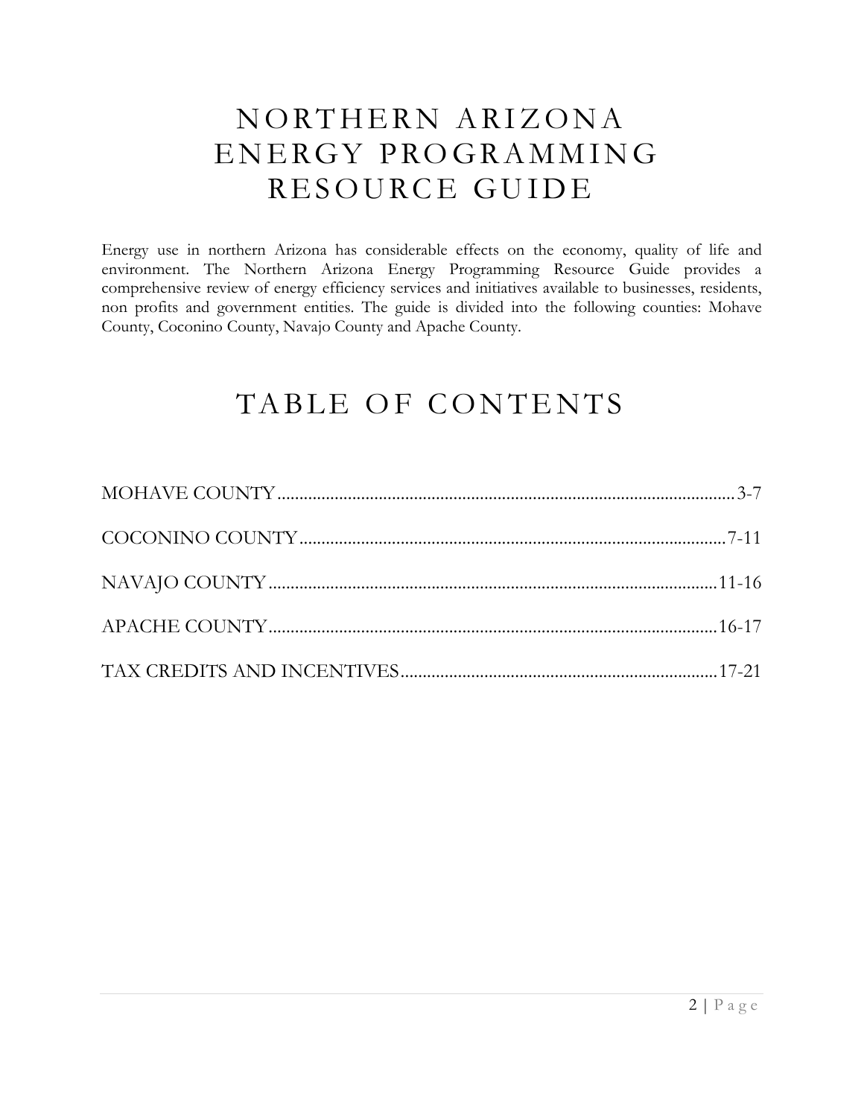# NORTHERN ARIZONA ENERGY PROGRAMMING RESOURCE GUIDE

Energy use in northern Arizona has considerable effects on the economy, quality of life and environment. The Northern Arizona Energy Programming Resource Guide provides a comprehensive review of energy efficiency services and initiatives available to businesses, residents, non profits and government entities. The guide is divided into the following counties: Mohave County, Coconino County, Navajo County and Apache County.

# TABLE OF CONTENTS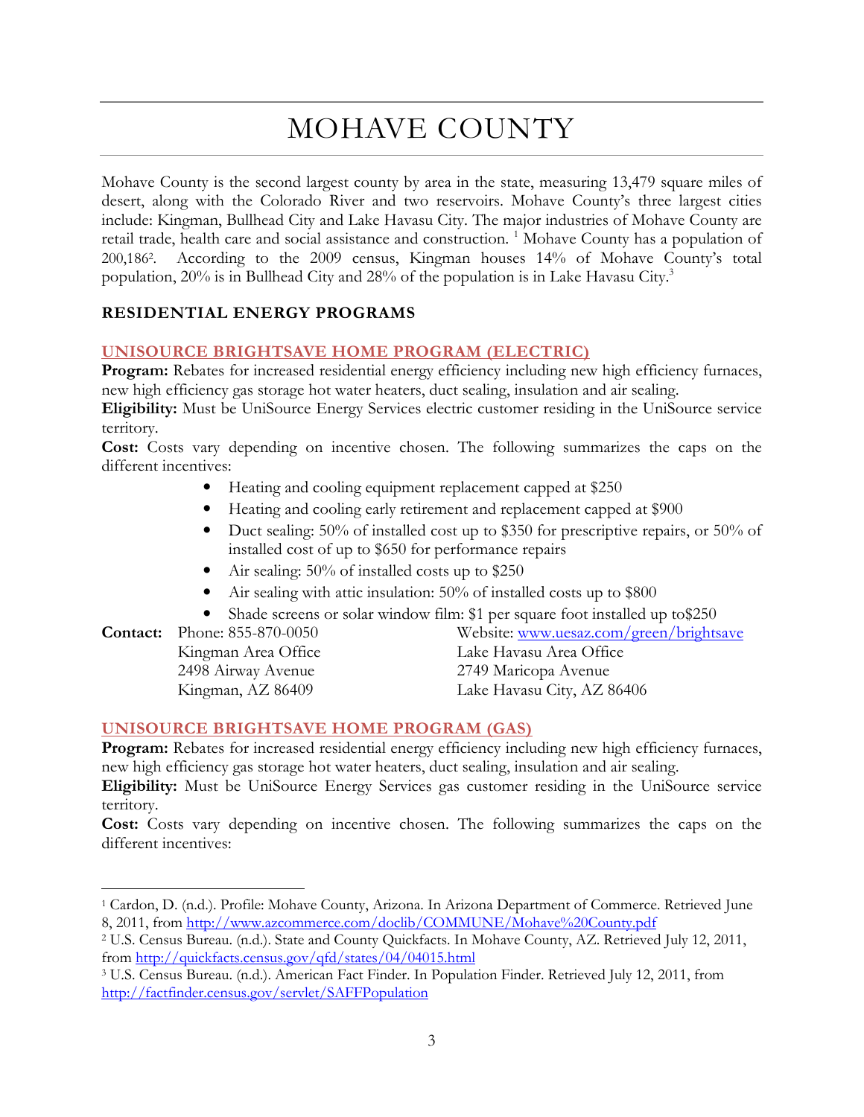# MOHAVE COUNTY

Mohave County is the second largest county by area in the state, measuring 13,479 square miles of desert, along with the Colorado River and two reservoirs. Mohave County's three largest cities include: Kingman, Bullhead City and Lake Havasu City. The major industries of Mohave County are retail trade, health care and social assistance and construction.<sup>1</sup> Mohave County has a population of 200,186<sup>2</sup> . According to the 2009 census, Kingman houses 14% of Mohave County's total population, 20% is in Bullhead City and 28% of the population is in Lake Havasu City.<sup>3</sup>

# RESIDENTIAL ENERGY PROGRAMS

#### UNISOURCE BRIGHTSAVE HOME PROGRAM (ELECTRIC)

Program: Rebates for increased residential energy efficiency including new high efficiency furnaces, new high efficiency gas storage hot water heaters, duct sealing, insulation and air sealing.

Eligibility: Must be UniSource Energy Services electric customer residing in the UniSource service territory.

Cost: Costs vary depending on incentive chosen. The following summarizes the caps on the different incentives:

- Heating and cooling equipment replacement capped at \$250
- Heating and cooling early retirement and replacement capped at \$900
- Duct sealing: 50% of installed cost up to \$350 for prescriptive repairs, or 50% of installed cost of up to \$650 for performance repairs
- Air sealing: 50% of installed costs up to \$250
- Air sealing with attic insulation: 50% of installed costs up to \$800
- Shade screens or solar window film: \$1 per square foot installed up to \$250
- Contact: Phone: 855-870-0050 Website: www.uesaz.com/green/brightsave
	- Kingman, AZ 86409 Lake Havasu City, AZ 86406

Kingman Area Office Lake Havasu Area Office 2498 Airway Avenue 2749 Maricopa Avenue

#### UNISOURCE BRIGHTSAVE HOME PROGRAM (GAS)

Program: Rebates for increased residential energy efficiency including new high efficiency furnaces, new high efficiency gas storage hot water heaters, duct sealing, insulation and air sealing.

Eligibility: Must be UniSource Energy Services gas customer residing in the UniSource service territory.

Cost: Costs vary depending on incentive chosen. The following summarizes the caps on the different incentives:

<sup>-</sup><sup>1</sup> Cardon, D. (n.d.). Profile: Mohave County, Arizona. In Arizona Department of Commerce. Retrieved June 8, 2011, from http://www.azcommerce.com/doclib/COMMUNE/Mohave%20County.pdf

<sup>2</sup> U.S. Census Bureau. (n.d.). State and County Quickfacts. In Mohave County, AZ. Retrieved July 12, 2011, from http://quickfacts.census.gov/qfd/states/04/04015.html

<sup>3</sup> U.S. Census Bureau. (n.d.). American Fact Finder. In Population Finder. Retrieved July 12, 2011, from http://factfinder.census.gov/servlet/SAFFPopulation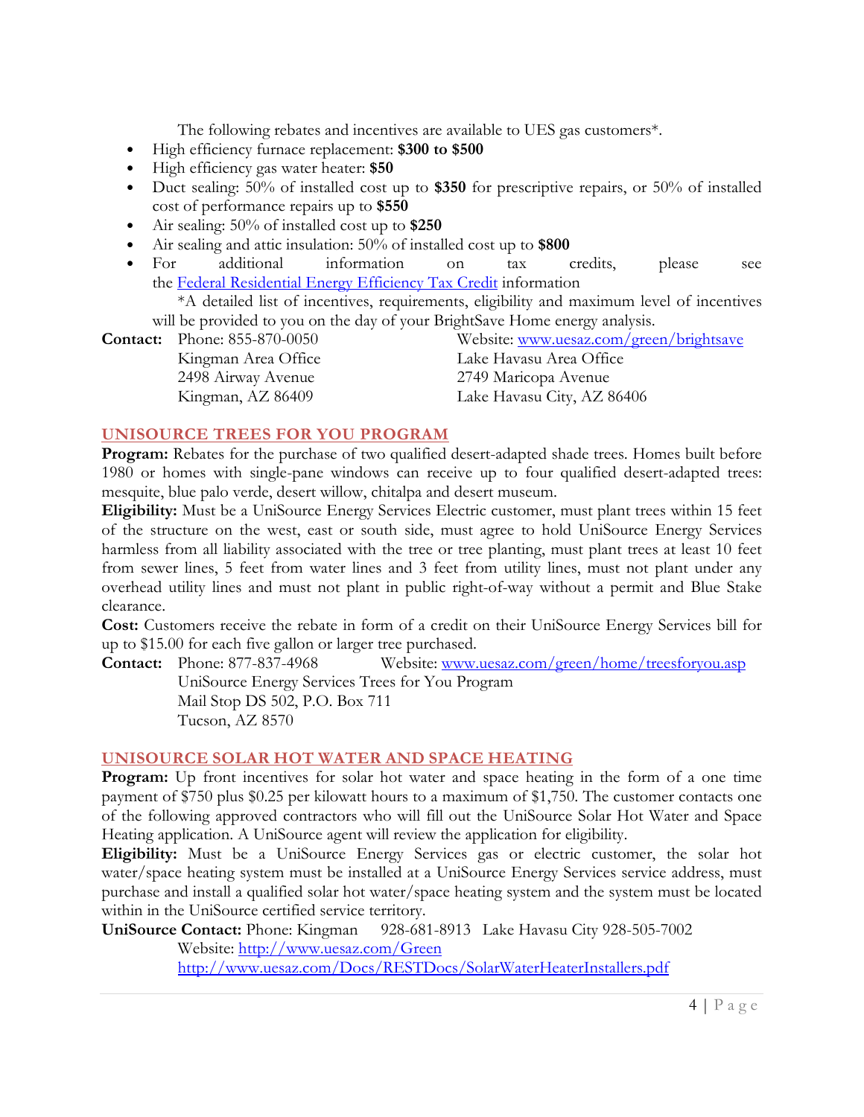The following rebates and incentives are available to UES gas customers\*.

- High efficiency furnace replacement: \$300 to \$500
- High efficiency gas water heater: \$50
- Duct sealing: 50% of installed cost up to \$350 for prescriptive repairs, or 50% of installed cost of performance repairs up to \$550
- Air sealing: 50% of installed cost up to \$250
- Air sealing and attic insulation: 50% of installed cost up to \$800
- For additional information on tax credits, please see the Federal Residential Energy Efficiency Tax Credit information

\*A detailed list of incentives, requirements, eligibility and maximum level of incentives will be provided to you on the day of your BrightSave Home energy analysis.

2498 Airway Avenue 2749 Maricopa Avenue

Contact: Phone: 855-870-0050 Website: www.uesaz.com/green/brightsave Kingman Area Office Lake Havasu Area Office Kingman, AZ 86409 Lake Havasu City, AZ 86406

# UNISOURCE TREES FOR YOU PROGRAM

Program: Rebates for the purchase of two qualified desert-adapted shade trees. Homes built before 1980 or homes with single-pane windows can receive up to four qualified desert-adapted trees: mesquite, blue palo verde, desert willow, chitalpa and desert museum.

Eligibility: Must be a UniSource Energy Services Electric customer, must plant trees within 15 feet of the structure on the west, east or south side, must agree to hold UniSource Energy Services harmless from all liability associated with the tree or tree planting, must plant trees at least 10 feet from sewer lines, 5 feet from water lines and 3 feet from utility lines, must not plant under any overhead utility lines and must not plant in public right-of-way without a permit and Blue Stake clearance.

Cost: Customers receive the rebate in form of a credit on their UniSource Energy Services bill for up to \$15.00 for each five gallon or larger tree purchased.

Contact: Phone: 877-837-4968 Website: www.uesaz.com/green/home/treesforyou.asp UniSource Energy Services Trees for You Program Mail Stop DS 502, P.O. Box 711 Tucson, AZ 8570

# UNISOURCE SOLAR HOT WATER AND SPACE HEATING

Program: Up front incentives for solar hot water and space heating in the form of a one time payment of \$750 plus \$0.25 per kilowatt hours to a maximum of \$1,750. The customer contacts one of the following approved contractors who will fill out the UniSource Solar Hot Water and Space Heating application. A UniSource agent will review the application for eligibility.

Eligibility: Must be a UniSource Energy Services gas or electric customer, the solar hot water/space heating system must be installed at a UniSource Energy Services service address, must purchase and install a qualified solar hot water/space heating system and the system must be located within in the UniSource certified service territory.

UniSource Contact: Phone: Kingman 928-681-8913 Lake Havasu City 928-505-7002 Website: http://www.uesaz.com/Green http://www.uesaz.com/Docs/RESTDocs/SolarWaterHeaterInstallers.pdf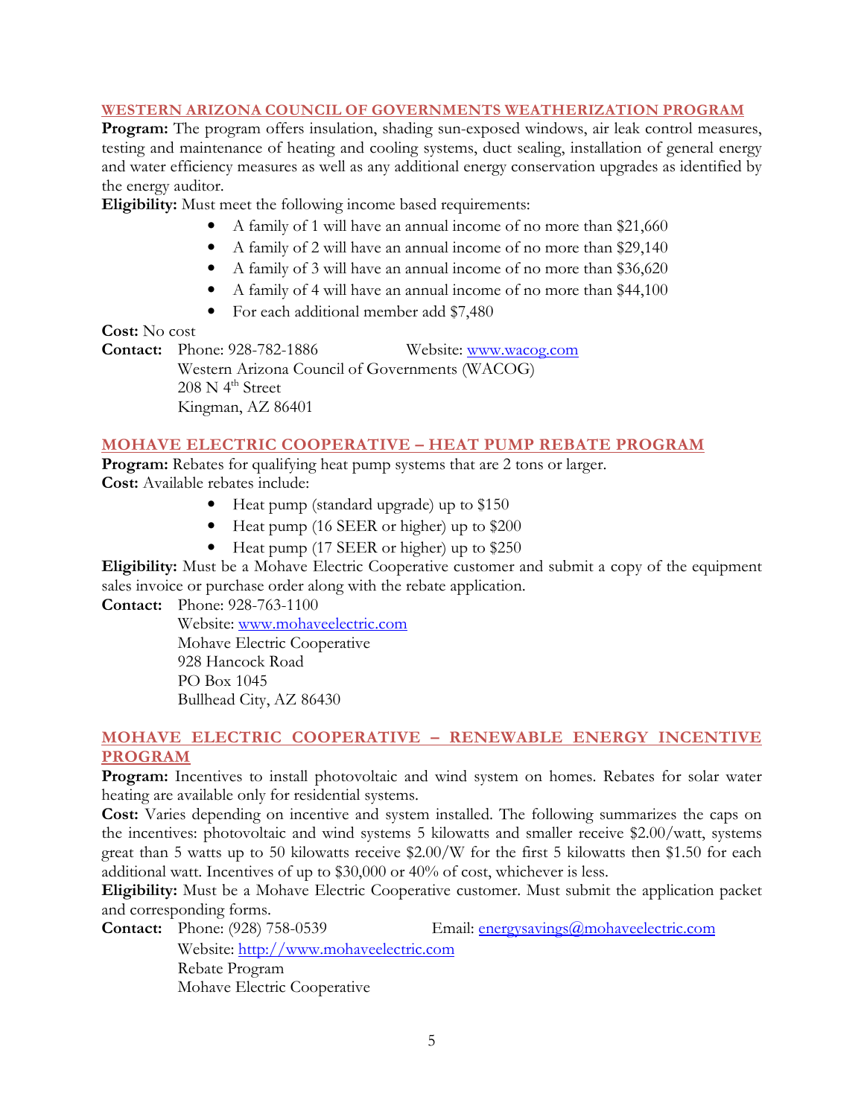#### WESTERN ARIZONA COUNCIL OF GOVERNMENTS WEATHERIZATION PROGRAM

Program: The program offers insulation, shading sun-exposed windows, air leak control measures, testing and maintenance of heating and cooling systems, duct sealing, installation of general energy and water efficiency measures as well as any additional energy conservation upgrades as identified by the energy auditor.

Eligibility: Must meet the following income based requirements:

- A family of 1 will have an annual income of no more than \$21,660
- A family of 2 will have an annual income of no more than \$29,140
- A family of 3 will have an annual income of no more than \$36,620
- A family of 4 will have an annual income of no more than \$44,100
- For each additional member add \$7,480

Cost: No cost

Contact: Phone: 928-782-1886 Website: www.wacog.com Western Arizona Council of Governments (WACOG)  $208$  N 4<sup>th</sup> Street Kingman, AZ 86401

#### MOHAVE ELECTRIC COOPERATIVE – HEAT PUMP REBATE PROGRAM

Program: Rebates for qualifying heat pump systems that are 2 tons or larger. Cost: Available rebates include:

- Heat pump (standard upgrade) up to \$150
- Heat pump (16 SEER or higher) up to \$200
- Heat pump (17 SEER or higher) up to \$250

Eligibility: Must be a Mohave Electric Cooperative customer and submit a copy of the equipment sales invoice or purchase order along with the rebate application.

Contact: Phone: 928-763-1100

Website: www.mohaveelectric.com Mohave Electric Cooperative 928 Hancock Road PO Box 1045 Bullhead City, AZ 86430

#### MOHAVE ELECTRIC COOPERATIVE – RENEWABLE ENERGY INCENTIVE PROGRAM

Program: Incentives to install photovoltaic and wind system on homes. Rebates for solar water heating are available only for residential systems.

Cost: Varies depending on incentive and system installed. The following summarizes the caps on the incentives: photovoltaic and wind systems 5 kilowatts and smaller receive \$2.00/watt, systems great than 5 watts up to 50 kilowatts receive \$2.00/W for the first 5 kilowatts then \$1.50 for each additional watt. Incentives of up to \$30,000 or 40% of cost, whichever is less.

Eligibility: Must be a Mohave Electric Cooperative customer. Must submit the application packet and corresponding forms.

**Contact:** Phone: (928) 758-0539 Email: **energysavings@mohaveelectric.com** Website: http://www.mohaveelectric.com Rebate Program Mohave Electric Cooperative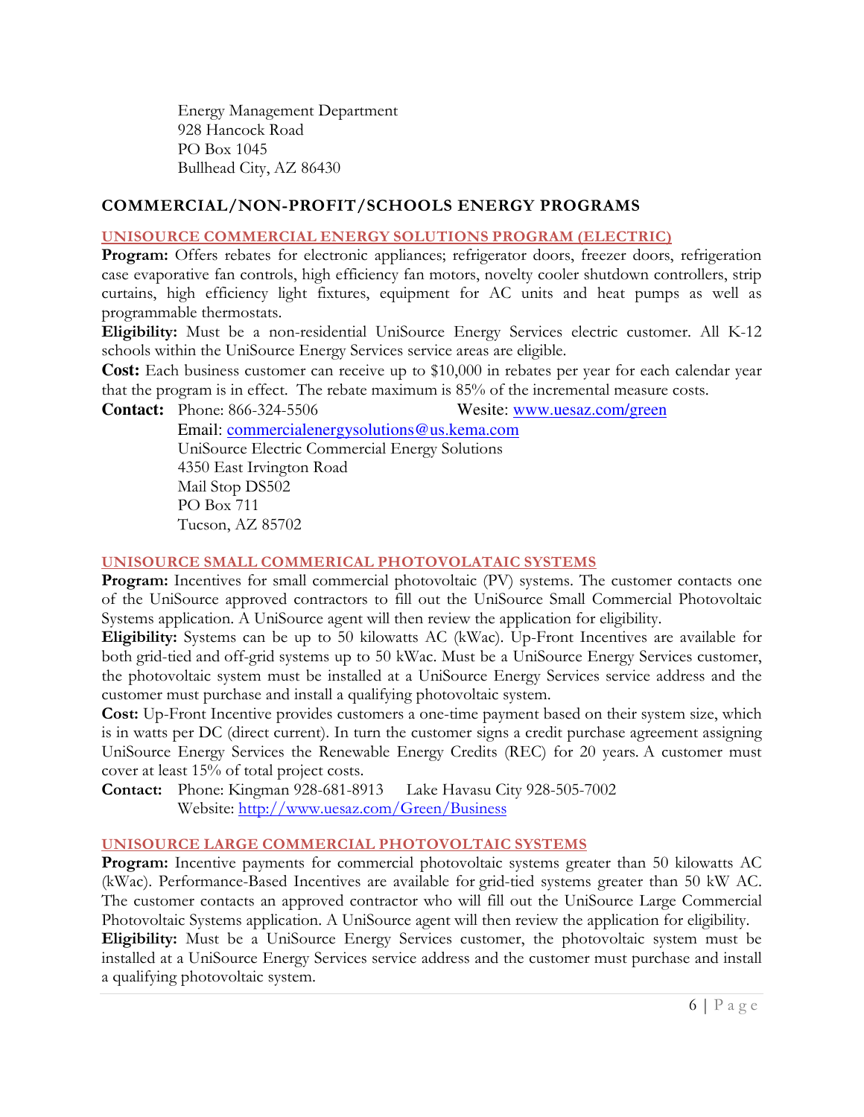Energy Management Department 928 Hancock Road PO Box 1045 Bullhead City, AZ 86430

# COMMERCIAL/NON-PROFIT/SCHOOLS ENERGY PROGRAMS

#### UNISOURCE COMMERCIAL ENERGY SOLUTIONS PROGRAM (ELECTRIC)

Program: Offers rebates for electronic appliances; refrigerator doors, freezer doors, refrigeration case evaporative fan controls, high efficiency fan motors, novelty cooler shutdown controllers, strip curtains, high efficiency light fixtures, equipment for AC units and heat pumps as well as programmable thermostats.

Eligibility: Must be a non-residential UniSource Energy Services electric customer. All K-12 schools within the UniSource Energy Services service areas are eligible.

**Cost:** Each business customer can receive up to \$10,000 in rebates per year for each calendar year that the program is in effect. The rebate maximum is 85% of the incremental measure costs.

**Contact:** Phone: 866-324-5506 Wesite: www.uesaz.com/green

 Email: commercialenergysolutions@us.kema.com UniSource Electric Commercial Energy Solutions 4350 East Irvington Road Mail Stop DS502 PO Box 711 Tucson, AZ 85702

#### UNISOURCE SMALL COMMERICAL PHOTOVOLATAIC SYSTEMS

Program: Incentives for small commercial photovoltaic (PV) systems. The customer contacts one of the UniSource approved contractors to fill out the UniSource Small Commercial Photovoltaic Systems application. A UniSource agent will then review the application for eligibility.

Eligibility: Systems can be up to 50 kilowatts AC (kWac). Up-Front Incentives are available for both grid-tied and off-grid systems up to 50 kWac. Must be a UniSource Energy Services customer, the photovoltaic system must be installed at a UniSource Energy Services service address and the customer must purchase and install a qualifying photovoltaic system.

Cost: Up-Front Incentive provides customers a one-time payment based on their system size, which is in watts per DC (direct current). In turn the customer signs a credit purchase agreement assigning UniSource Energy Services the Renewable Energy Credits (REC) for 20 years. A customer must cover at least 15% of total project costs.

Contact: Phone: Kingman 928-681-8913 Lake Havasu City 928-505-7002 Website: http://www.uesaz.com/Green/Business

# UNISOURCE LARGE COMMERCIAL PHOTOVOLTAIC SYSTEMS

Program: Incentive payments for commercial photovoltaic systems greater than 50 kilowatts AC (kWac). Performance-Based Incentives are available for grid-tied systems greater than 50 kW AC. The customer contacts an approved contractor who will fill out the UniSource Large Commercial Photovoltaic Systems application. A UniSource agent will then review the application for eligibility.

Eligibility: Must be a UniSource Energy Services customer, the photovoltaic system must be installed at a UniSource Energy Services service address and the customer must purchase and install a qualifying photovoltaic system.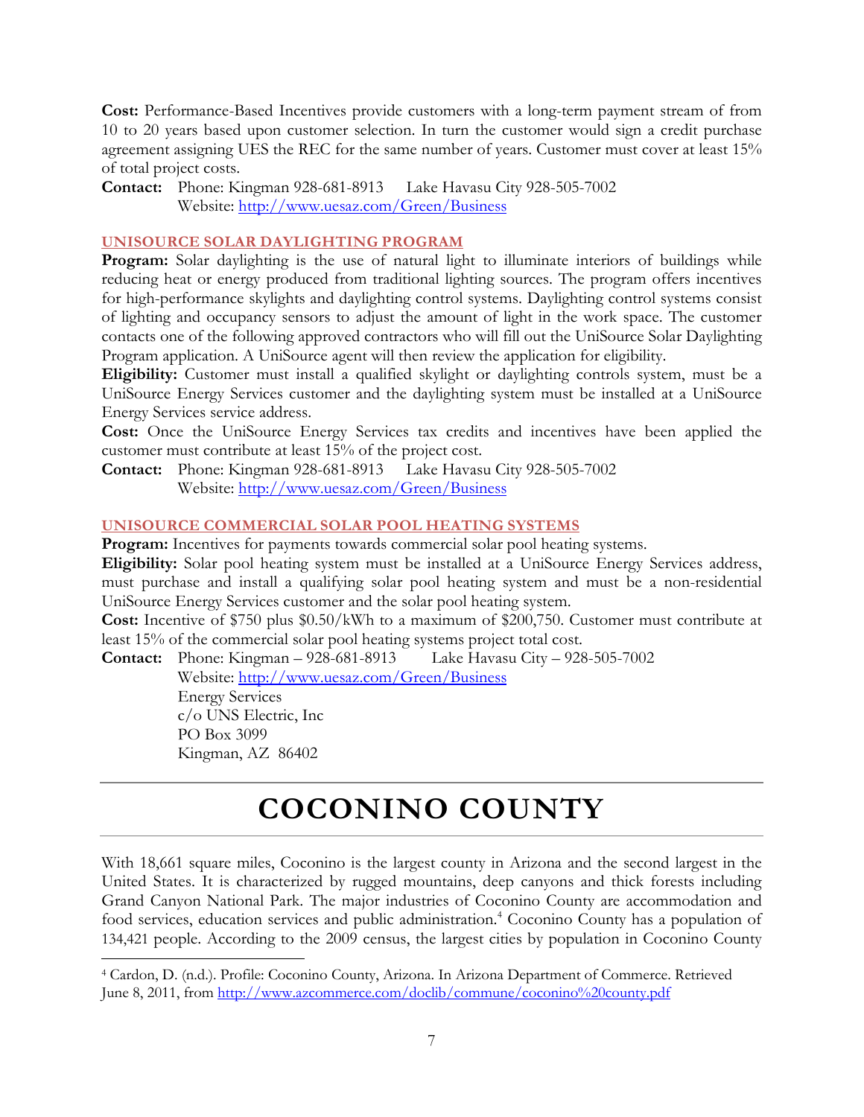Cost: Performance-Based Incentives provide customers with a long-term payment stream of from 10 to 20 years based upon customer selection. In turn the customer would sign a credit purchase agreement assigning UES the REC for the same number of years. Customer must cover at least 15% of total project costs.

Contact: Phone: Kingman 928-681-8913 Lake Havasu City 928-505-7002 Website: http://www.uesaz.com/Green/Business

#### UNISOURCE SOLAR DAYLIGHTING PROGRAM

Program: Solar daylighting is the use of natural light to illuminate interiors of buildings while reducing heat or energy produced from traditional lighting sources. The program offers incentives for high-performance skylights and daylighting control systems. Daylighting control systems consist of lighting and occupancy sensors to adjust the amount of light in the work space. The customer contacts one of the following approved contractors who will fill out the UniSource Solar Daylighting Program application. A UniSource agent will then review the application for eligibility.

Eligibility: Customer must install a qualified skylight or daylighting controls system, must be a UniSource Energy Services customer and the daylighting system must be installed at a UniSource Energy Services service address.

Cost: Once the UniSource Energy Services tax credits and incentives have been applied the customer must contribute at least 15% of the project cost.

Contact: Phone: Kingman 928-681-8913 Lake Havasu City 928-505-7002 Website: http://www.uesaz.com/Green/Business

#### UNISOURCE COMMERCIAL SOLAR POOL HEATING SYSTEMS

Program: Incentives for payments towards commercial solar pool heating systems.

Eligibility: Solar pool heating system must be installed at a UniSource Energy Services address, must purchase and install a qualifying solar pool heating system and must be a non-residential UniSource Energy Services customer and the solar pool heating system.

Cost: Incentive of \$750 plus \$0.50/kWh to a maximum of \$200,750. Customer must contribute at least 15% of the commercial solar pool heating systems project total cost.

Contact: Phone: Kingman – 928-681-8913 Lake Havasu City – 928-505-7002

 Website: http://www.uesaz.com/Green/Business Energy Services c/o UNS Electric, Inc PO Box 3099 Kingman, AZ 86402

# COCONINO COUNTY

With 18,661 square miles, Coconino is the largest county in Arizona and the second largest in the United States. It is characterized by rugged mountains, deep canyons and thick forests including Grand Canyon National Park. The major industries of Coconino County are accommodation and food services, education services and public administration.<sup>4</sup> Coconino County has a population of 134,421 people. According to the 2009 census, the largest cities by population in Coconino County

 4 Cardon, D. (n.d.). Profile: Coconino County, Arizona. In Arizona Department of Commerce. Retrieved June 8, 2011, from http://www.azcommerce.com/doclib/commune/coconino%20county.pdf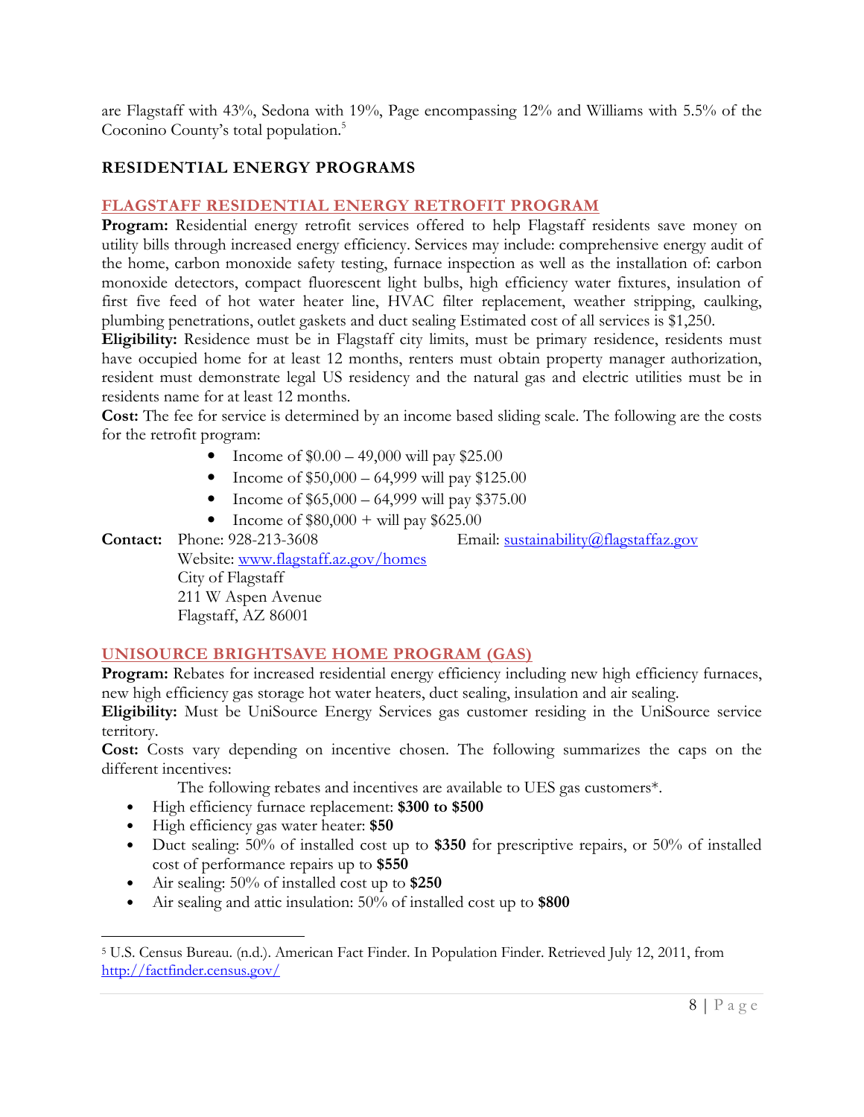are Flagstaff with 43%, Sedona with 19%, Page encompassing 12% and Williams with 5.5% of the Coconino County's total population.<sup>5</sup>

# RESIDENTIAL ENERGY PROGRAMS

#### FLAGSTAFF RESIDENTIAL ENERGY RETROFIT PROGRAM

Program: Residential energy retrofit services offered to help Flagstaff residents save money on utility bills through increased energy efficiency. Services may include: comprehensive energy audit of the home, carbon monoxide safety testing, furnace inspection as well as the installation of: carbon monoxide detectors, compact fluorescent light bulbs, high efficiency water fixtures, insulation of first five feed of hot water heater line, HVAC filter replacement, weather stripping, caulking, plumbing penetrations, outlet gaskets and duct sealing Estimated cost of all services is \$1,250.

Eligibility: Residence must be in Flagstaff city limits, must be primary residence, residents must have occupied home for at least 12 months, renters must obtain property manager authorization, resident must demonstrate legal US residency and the natural gas and electric utilities must be in residents name for at least 12 months.

Cost: The fee for service is determined by an income based sliding scale. The following are the costs for the retrofit program:

- Income of  $$0.00 49,000$  will pay \$25.00
- Income of  $$50,000 64,999$  will pay \$125.00
- Income of  $$65,000 64,999$  will pay \$375.00
- Income of  $$80,000 + will pay $625.00$

Contact: Phone: 928-213-3608 Email: sustainability@flagstaffaz.gov

 Website: www.flagstaff.az.gov/homes City of Flagstaff 211 W Aspen Avenue Flagstaff, AZ 86001

# UNISOURCE BRIGHTSAVE HOME PROGRAM (GAS)

Program: Rebates for increased residential energy efficiency including new high efficiency furnaces, new high efficiency gas storage hot water heaters, duct sealing, insulation and air sealing.

Eligibility: Must be UniSource Energy Services gas customer residing in the UniSource service territory.

Cost: Costs vary depending on incentive chosen. The following summarizes the caps on the different incentives:

The following rebates and incentives are available to UES gas customers\*.

- High efficiency furnace replacement: \$300 to \$500
- High efficiency gas water heater: \$50
- Duct sealing: 50% of installed cost up to \$350 for prescriptive repairs, or 50% of installed cost of performance repairs up to \$550
- Air sealing: 50% of installed cost up to \$250
- Air sealing and attic insulation: 50% of installed cost up to \$800

<sup>-</sup>5 U.S. Census Bureau. (n.d.). American Fact Finder. In Population Finder. Retrieved July 12, 2011, from http://factfinder.census.gov/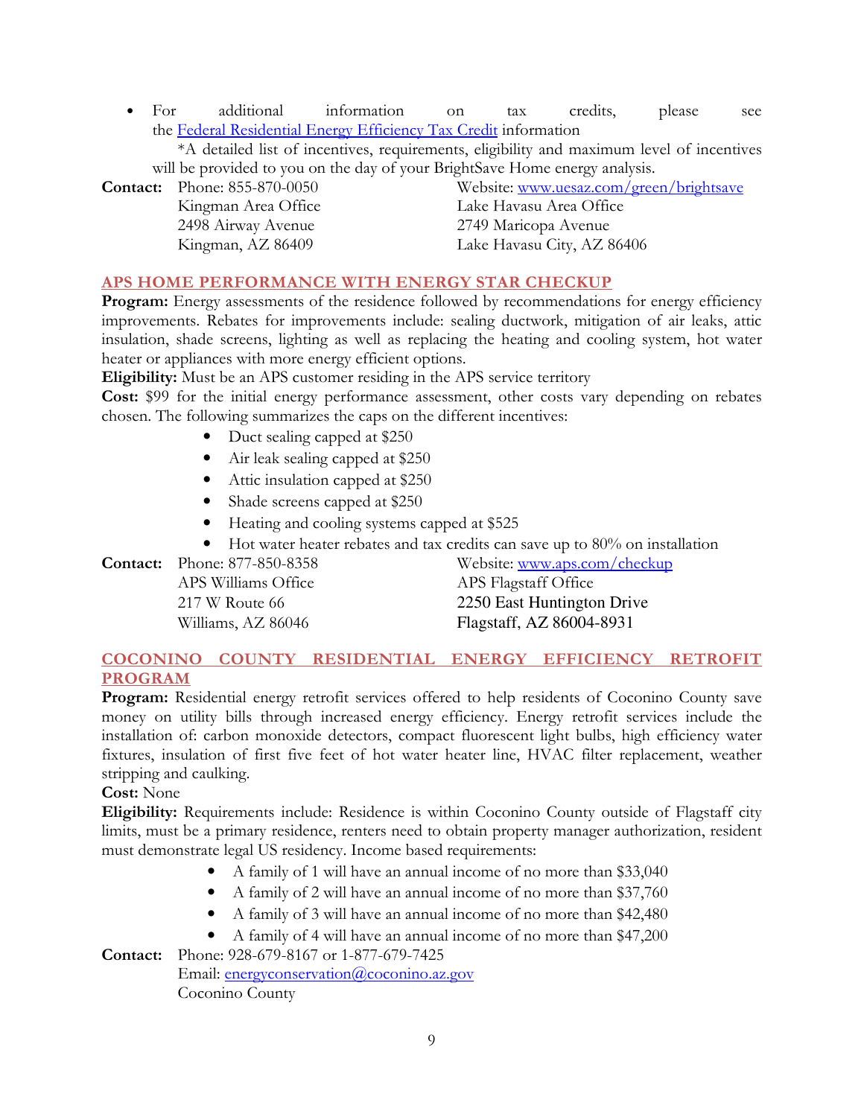• For additional information on tax credits, please see the Federal Residential Energy Efficiency Tax Credit information

\*A detailed list of incentives, requirements, eligibility and maximum level of incentives will be provided to you on the day of your BrightSave Home energy analysis.

Contact: Phone: 855-870-0050 Website: www.uesaz.com/green/brightsave Kingman Area Office Lake Havasu Area Office 2498 Airway Avenue 2749 Maricopa Avenue Kingman, AZ 86409 Lake Havasu City, AZ 86406

# APS HOME PERFORMANCE WITH ENERGY STAR CHECKUP

Program: Energy assessments of the residence followed by recommendations for energy efficiency improvements. Rebates for improvements include: sealing ductwork, mitigation of air leaks, attic insulation, shade screens, lighting as well as replacing the heating and cooling system, hot water heater or appliances with more energy efficient options.

Eligibility: Must be an APS customer residing in the APS service territory

Cost: \$99 for the initial energy performance assessment, other costs vary depending on rebates chosen. The following summarizes the caps on the different incentives:

- Duct sealing capped at \$250
- Air leak sealing capped at \$250
- Attic insulation capped at \$250
- Shade screens capped at \$250
- Heating and cooling systems capped at \$525
- Hot water heater rebates and tax credits can save up to 80% on installation

Contact: Phone: 877-850-8358 Website: www.aps.com/checkup APS Williams Office APS Flagstaff Office

 217 W Route 66 2250 East Huntington Drive Williams, AZ 86046 Flagstaff, AZ 86004-8931

#### COCONINO COUNTY RESIDENTIAL ENERGY EFFICIENCY RETROFIT PROGRAM

Program: Residential energy retrofit services offered to help residents of Coconino County save money on utility bills through increased energy efficiency. Energy retrofit services include the installation of: carbon monoxide detectors, compact fluorescent light bulbs, high efficiency water fixtures, insulation of first five feet of hot water heater line, HVAC filter replacement, weather stripping and caulking.

#### Cost: None

Eligibility: Requirements include: Residence is within Coconino County outside of Flagstaff city limits, must be a primary residence, renters need to obtain property manager authorization, resident must demonstrate legal US residency. Income based requirements:

- A family of 1 will have an annual income of no more than \$33,040
- A family of 2 will have an annual income of no more than \$37,760
- A family of 3 will have an annual income of no more than \$42,480
- A family of 4 will have an annual income of no more than \$47,200

Contact: Phone: 928-679-8167 or 1-877-679-7425 Email: energyconservation@coconino.az.gov Coconino County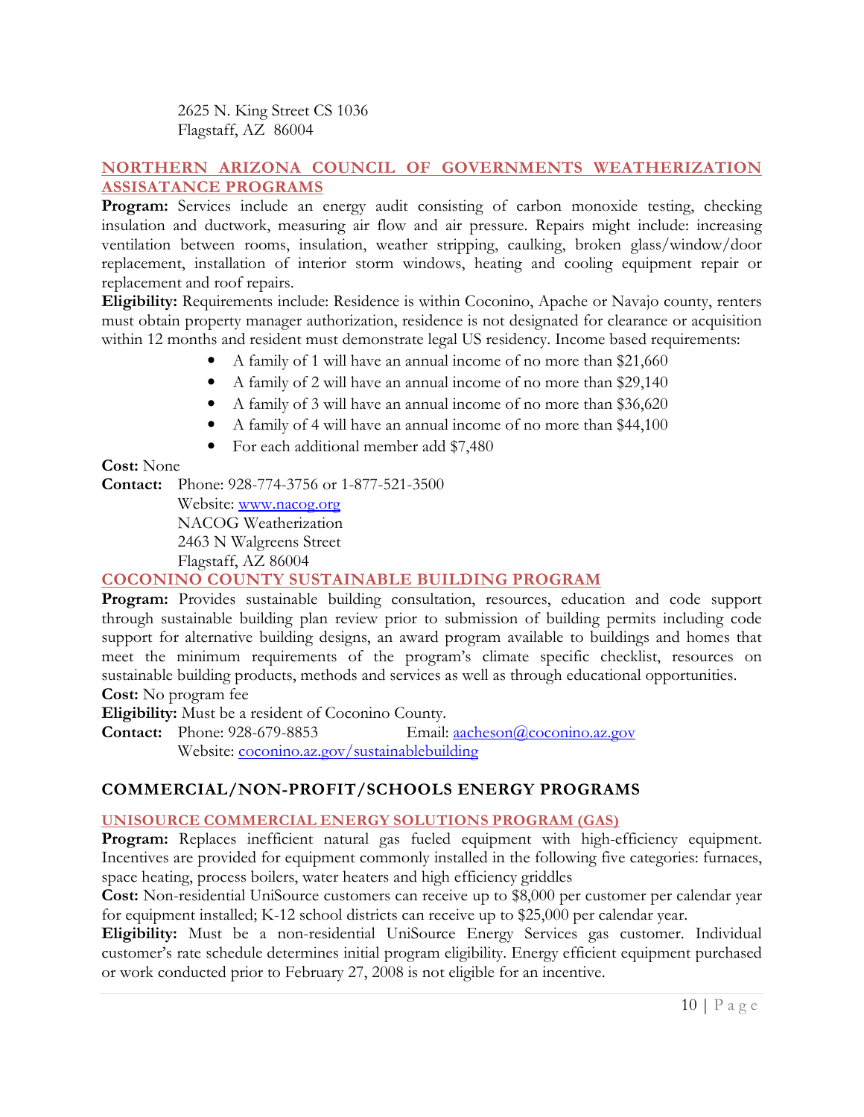2625 N. King Street CS 1036 Flagstaff, AZ 86004

#### NORTHERN ARIZONA COUNCIL OF GOVERNMENTS WEATHERIZATION ASSISATANCE PROGRAMS

Program: Services include an energy audit consisting of carbon monoxide testing, checking insulation and ductwork, measuring air flow and air pressure. Repairs might include: increasing ventilation between rooms, insulation, weather stripping, caulking, broken glass/window/door replacement, installation of interior storm windows, heating and cooling equipment repair or replacement and roof repairs.

Eligibility: Requirements include: Residence is within Coconino, Apache or Navajo county, renters must obtain property manager authorization, residence is not designated for clearance or acquisition within 12 months and resident must demonstrate legal US residency. Income based requirements:

- A family of 1 will have an annual income of no more than \$21,660
- A family of 2 will have an annual income of no more than \$29,140
- A family of 3 will have an annual income of no more than \$36,620
- A family of 4 will have an annual income of no more than \$44,100
- For each additional member add \$7,480

#### Cost: None

Contact: Phone: 928-774-3756 or 1-877-521-3500

 Website: www.nacog.org NACOG Weatherization 2463 N Walgreens Street Flagstaff, AZ 86004

#### COCONINO COUNTY SUSTAINABLE BUILDING PROGRAM

Program: Provides sustainable building consultation, resources, education and code support through sustainable building plan review prior to submission of building permits including code support for alternative building designs, an award program available to buildings and homes that meet the minimum requirements of the program's climate specific checklist, resources on sustainable building products, methods and services as well as through educational opportunities. Cost: No program fee

Eligibility: Must be a resident of Coconino County.

Contact: Phone: 928-679-8853 Email: aacheson@coconino.az.gov Website: coconino.az.gov/sustainablebuilding

# COMMERCIAL/NON-PROFIT/SCHOOLS ENERGY PROGRAMS

#### UNISOURCE COMMERCIAL ENERGY SOLUTIONS PROGRAM (GAS)

Program: Replaces inefficient natural gas fueled equipment with high-efficiency equipment. Incentives are provided for equipment commonly installed in the following five categories: furnaces, space heating, process boilers, water heaters and high efficiency griddles

Cost: Non-residential UniSource customers can receive up to \$8,000 per customer per calendar year for equipment installed; K-12 school districts can receive up to \$25,000 per calendar year.

Eligibility: Must be a non-residential UniSource Energy Services gas customer. Individual customer's rate schedule determines initial program eligibility. Energy efficient equipment purchased or work conducted prior to February 27, 2008 is not eligible for an incentive.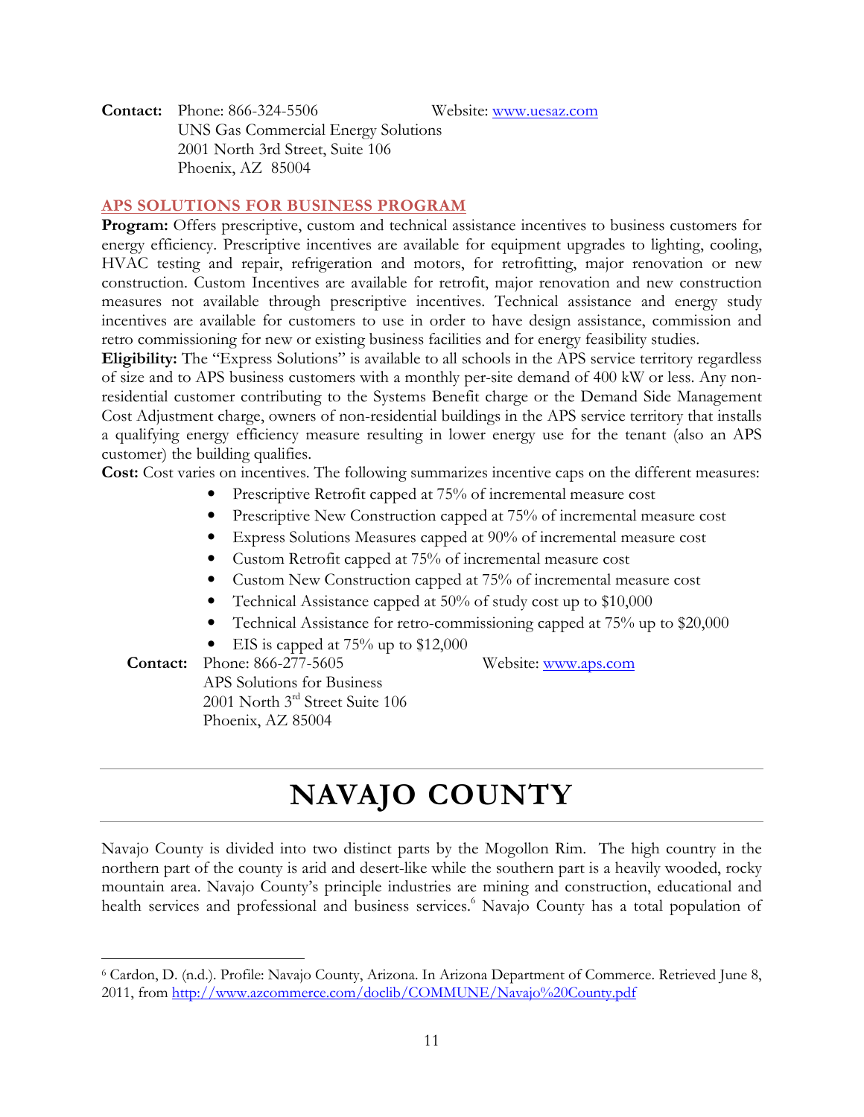Contact: Phone: 866-324-5506 Website: www.uesaz.com UNS Gas Commercial Energy Solutions 2001 North 3rd Street, Suite 106 Phoenix, AZ 85004

#### APS SOLUTIONS FOR BUSINESS PROGRAM

Program: Offers prescriptive, custom and technical assistance incentives to business customers for energy efficiency. Prescriptive incentives are available for equipment upgrades to lighting, cooling, HVAC testing and repair, refrigeration and motors, for retrofitting, major renovation or new construction. Custom Incentives are available for retrofit, major renovation and new construction measures not available through prescriptive incentives. Technical assistance and energy study incentives are available for customers to use in order to have design assistance, commission and retro commissioning for new or existing business facilities and for energy feasibility studies.

Eligibility: The "Express Solutions" is available to all schools in the APS service territory regardless of size and to APS business customers with a monthly per-site demand of 400 kW or less. Any nonresidential customer contributing to the Systems Benefit charge or the Demand Side Management Cost Adjustment charge, owners of non-residential buildings in the APS service territory that installs a qualifying energy efficiency measure resulting in lower energy use for the tenant (also an APS customer) the building qualifies.

Cost: Cost varies on incentives. The following summarizes incentive caps on the different measures:

- Prescriptive Retrofit capped at 75% of incremental measure cost
- Prescriptive New Construction capped at 75% of incremental measure cost
- Express Solutions Measures capped at 90% of incremental measure cost
- Custom Retrofit capped at 75% of incremental measure cost
- Custom New Construction capped at 75% of incremental measure cost
- Technical Assistance capped at 50% of study cost up to \$10,000
- Technical Assistance for retro-commissioning capped at 75% up to \$20,000
- EIS is capped at  $75\%$  up to \$12,000

Contact: Phone: 866-277-5605 Website: www.aps.com APS Solutions for Business 2001 North 3rd Street Suite 106 Phoenix, AZ 85004

# NAVAJO COUNTY

Navajo County is divided into two distinct parts by the Mogollon Rim. The high country in the northern part of the county is arid and desert-like while the southern part is a heavily wooded, rocky mountain area. Navajo County's principle industries are mining and construction, educational and health services and professional and business services. 6 Navajo County has a total population of

<sup>6</sup> Cardon, D. (n.d.). Profile: Navajo County, Arizona. In Arizona Department of Commerce. Retrieved June 8, 2011, from http://www.azcommerce.com/doclib/COMMUNE/Navajo%20County.pdf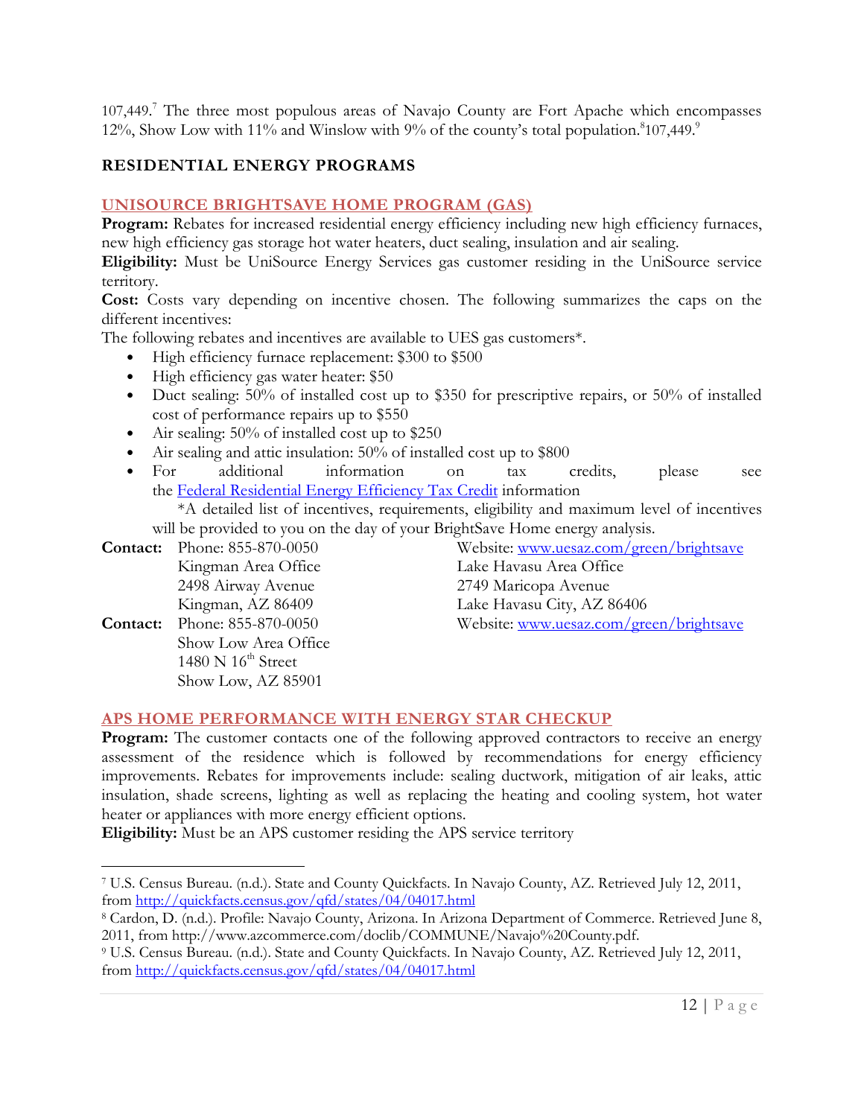107,449.<sup>7</sup> The three most populous areas of Navajo County are Fort Apache which encompasses 12%, Show Low with 11% and Winslow with 9% of the county's total population.  $8107,449$ .

# RESIDENTIAL ENERGY PROGRAMS

# UNISOURCE BRIGHTSAVE HOME PROGRAM (GAS)

Program: Rebates for increased residential energy efficiency including new high efficiency furnaces, new high efficiency gas storage hot water heaters, duct sealing, insulation and air sealing.

Eligibility: Must be UniSource Energy Services gas customer residing in the UniSource service territory.

Cost: Costs vary depending on incentive chosen. The following summarizes the caps on the different incentives:

The following rebates and incentives are available to UES gas customers\*.

- High efficiency furnace replacement: \$300 to \$500
- High efficiency gas water heater: \$50
- Duct sealing: 50% of installed cost up to \$350 for prescriptive repairs, or 50% of installed cost of performance repairs up to \$550
- Air sealing: 50% of installed cost up to \$250
- Air sealing and attic insulation: 50% of installed cost up to \$800
- For additional information on tax credits, please see the Federal Residential Energy Efficiency Tax Credit information

\*A detailed list of incentives, requirements, eligibility and maximum level of incentives will be provided to you on the day of your BrightSave Home energy analysis.<br>Contact: Phone: 855-870-0050 Website: www.uesaz.com/gree

2498 Airway Avenue 2749 Maricopa Avenue Show Low Area Office 1480 N  $16^{th}$  Street

Show Low, AZ 85901

Website: www.uesaz.com/green/brightsave Kingman Area Office Lake Havasu Area Office Kingman, AZ 86409 Lake Havasu City, AZ 86406 Contact: Phone: 855-870-0050 Website: www.uesaz.com/green/brightsave

# APS HOME PERFORMANCE WITH ENERGY STAR CHECKUP

Program: The customer contacts one of the following approved contractors to receive an energy assessment of the residence which is followed by recommendations for energy efficiency improvements. Rebates for improvements include: sealing ductwork, mitigation of air leaks, attic insulation, shade screens, lighting as well as replacing the heating and cooling system, hot water heater or appliances with more energy efficient options.

Eligibility: Must be an APS customer residing the APS service territory

<sup>-</sup>7 U.S. Census Bureau. (n.d.). State and County Quickfacts. In Navajo County, AZ. Retrieved July 12, 2011, from http://quickfacts.census.gov/qfd/states/04/04017.html

<sup>8</sup> Cardon, D. (n.d.). Profile: Navajo County, Arizona. In Arizona Department of Commerce. Retrieved June 8, 2011, from http://www.azcommerce.com/doclib/COMMUNE/Navajo%20County.pdf.

<sup>9</sup> U.S. Census Bureau. (n.d.). State and County Quickfacts. In Navajo County, AZ. Retrieved July 12, 2011, from http://quickfacts.census.gov/qfd/states/04/04017.html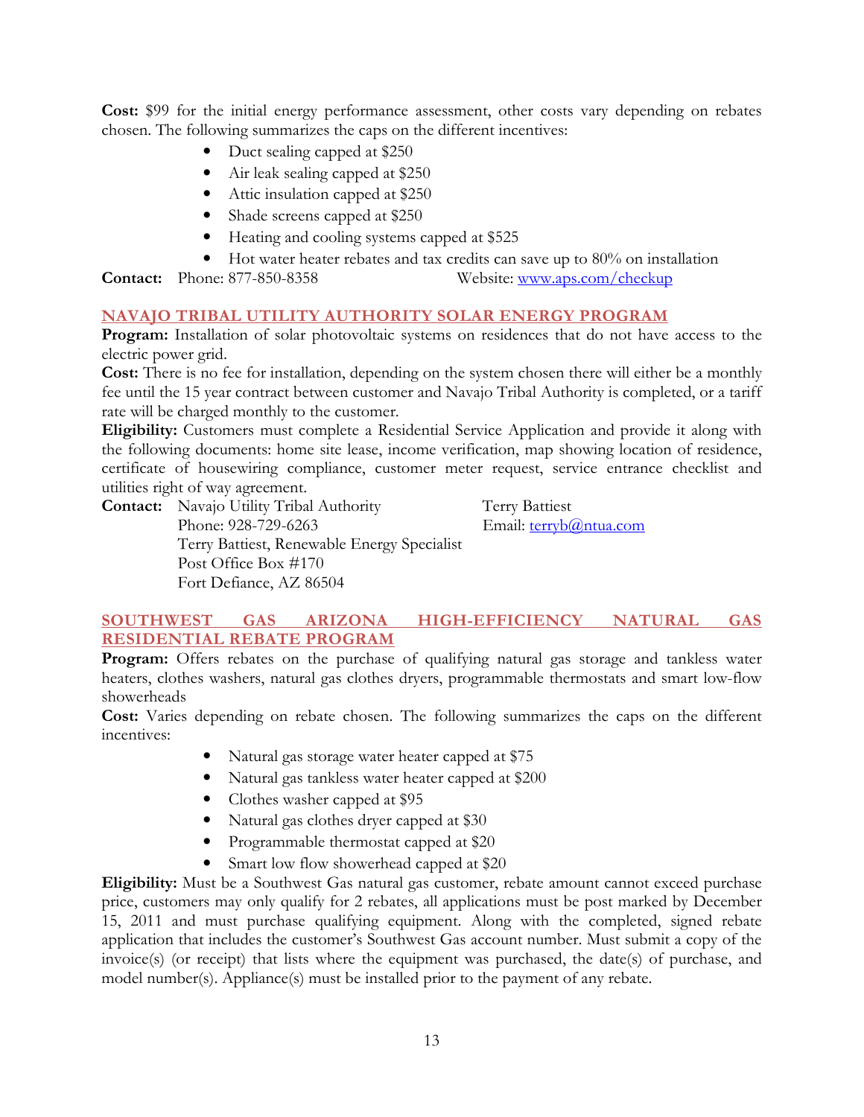Cost: \$99 for the initial energy performance assessment, other costs vary depending on rebates chosen. The following summarizes the caps on the different incentives:

- Duct sealing capped at \$250
- Air leak sealing capped at \$250
- Attic insulation capped at \$250
- Shade screens capped at \$250
- Heating and cooling systems capped at \$525
- Hot water heater rebates and tax credits can save up to 80% on installation<br>me: 877-850-8358 Website: www.aps.com/checkup

**Contact:** Phone: 877-850-8358

#### NAVAJO TRIBAL UTILITY AUTHORITY SOLAR ENERGY PROGRAM

Program: Installation of solar photovoltaic systems on residences that do not have access to the electric power grid.

Cost: There is no fee for installation, depending on the system chosen there will either be a monthly fee until the 15 year contract between customer and Navajo Tribal Authority is completed, or a tariff rate will be charged monthly to the customer.

Eligibility: Customers must complete a Residential Service Application and provide it along with the following documents: home site lease, income verification, map showing location of residence, certificate of housewiring compliance, customer meter request, service entrance checklist and utilities right of way agreement.

Contact: Navajo Utility Tribal Authority Terry Battiest Phone: 928-729-6263 Email: terryb@ntua.com

 Terry Battiest, Renewable Energy Specialist Post Office Box #170 Fort Defiance, AZ 86504

# SOUTHWEST GAS ARIZONA HIGH-EFFICIENCY NATURAL GAS RESIDENTIAL REBATE PROGRAM

Program: Offers rebates on the purchase of qualifying natural gas storage and tankless water heaters, clothes washers, natural gas clothes dryers, programmable thermostats and smart low-flow showerheads

Cost: Varies depending on rebate chosen. The following summarizes the caps on the different incentives:

- Natural gas storage water heater capped at \$75
- Natural gas tankless water heater capped at \$200
- Clothes washer capped at \$95
- Natural gas clothes dryer capped at \$30
- Programmable thermostat capped at \$20
- Smart low flow showerhead capped at \$20

Eligibility: Must be a Southwest Gas natural gas customer, rebate amount cannot exceed purchase price, customers may only qualify for 2 rebates, all applications must be post marked by December 15, 2011 and must purchase qualifying equipment. Along with the completed, signed rebate application that includes the customer's Southwest Gas account number. Must submit a copy of the invoice(s) (or receipt) that lists where the equipment was purchased, the date(s) of purchase, and model number(s). Appliance(s) must be installed prior to the payment of any rebate.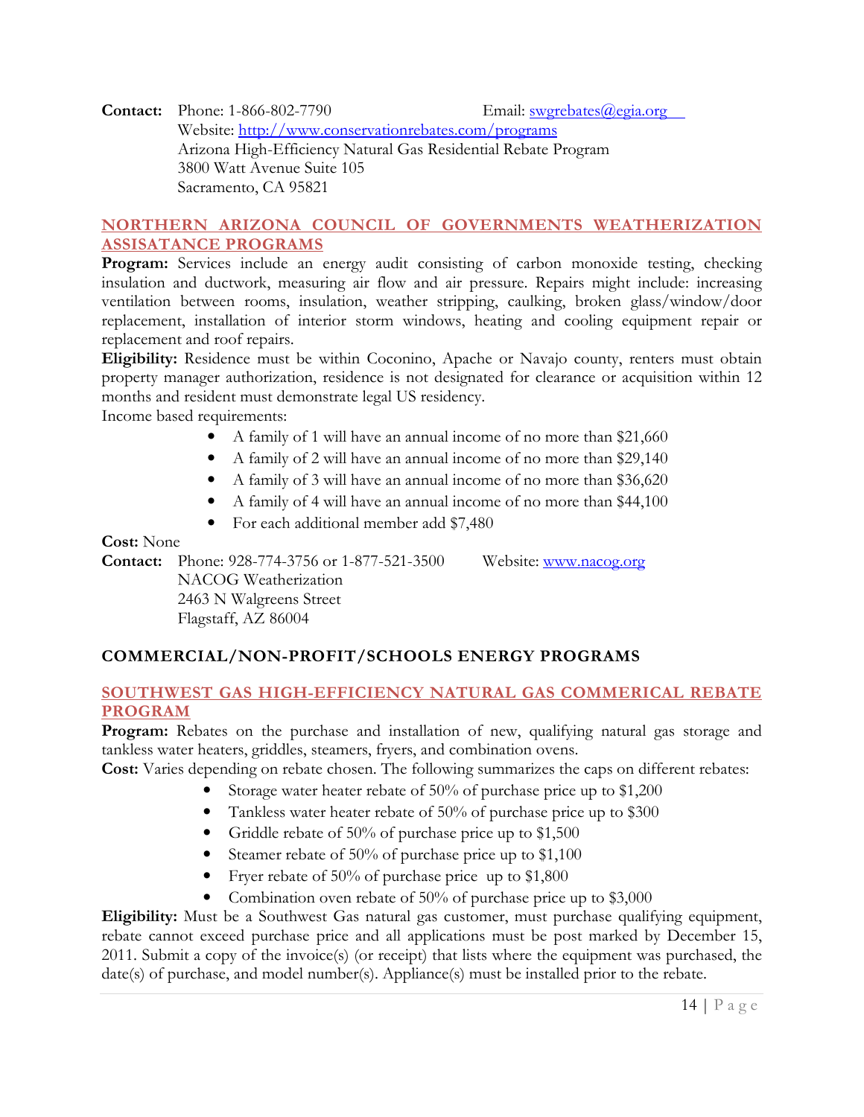Contact: Phone: 1-866-802-7790 Email: swgrebates@egia.org Website: http://www.conservationrebates.com/programs Arizona High-Efficiency Natural Gas Residential Rebate Program 3800 Watt Avenue Suite 105 Sacramento, CA 95821

# NORTHERN ARIZONA COUNCIL OF GOVERNMENTS WEATHERIZATION ASSISATANCE PROGRAMS

Program: Services include an energy audit consisting of carbon monoxide testing, checking insulation and ductwork, measuring air flow and air pressure. Repairs might include: increasing ventilation between rooms, insulation, weather stripping, caulking, broken glass/window/door replacement, installation of interior storm windows, heating and cooling equipment repair or replacement and roof repairs.

Eligibility: Residence must be within Coconino, Apache or Navajo county, renters must obtain property manager authorization, residence is not designated for clearance or acquisition within 12 months and resident must demonstrate legal US residency.

Income based requirements:

- A family of 1 will have an annual income of no more than \$21,660
- A family of 2 will have an annual income of no more than \$29,140
- A family of 3 will have an annual income of no more than \$36,620
- A family of 4 will have an annual income of no more than \$44,100
- For each additional member add \$7,480

Cost: None

Contact: Phone: 928-774-3756 or 1-877-521-3500 Website: www.nacog.org NACOG Weatherization 2463 N Walgreens Street Flagstaff, AZ 86004

# COMMERCIAL/NON-PROFIT/SCHOOLS ENERGY PROGRAMS

# SOUTHWEST GAS HIGH-EFFICIENCY NATURAL GAS COMMERICAL REBATE PROGRAM

**Program:** Rebates on the purchase and installation of new, qualifying natural gas storage and tankless water heaters, griddles, steamers, fryers, and combination ovens.

Cost: Varies depending on rebate chosen. The following summarizes the caps on different rebates:

- Storage water heater rebate of 50% of purchase price up to \$1,200
- Tankless water heater rebate of 50% of purchase price up to \$300
- Griddle rebate of 50% of purchase price up to \$1,500
- Steamer rebate of 50% of purchase price up to \$1,100
- Fryer rebate of 50% of purchase price up to \$1,800
- Combination oven rebate of 50% of purchase price up to \$3,000

Eligibility: Must be a Southwest Gas natural gas customer, must purchase qualifying equipment, rebate cannot exceed purchase price and all applications must be post marked by December 15, 2011. Submit a copy of the invoice(s) (or receipt) that lists where the equipment was purchased, the date(s) of purchase, and model number(s). Appliance(s) must be installed prior to the rebate.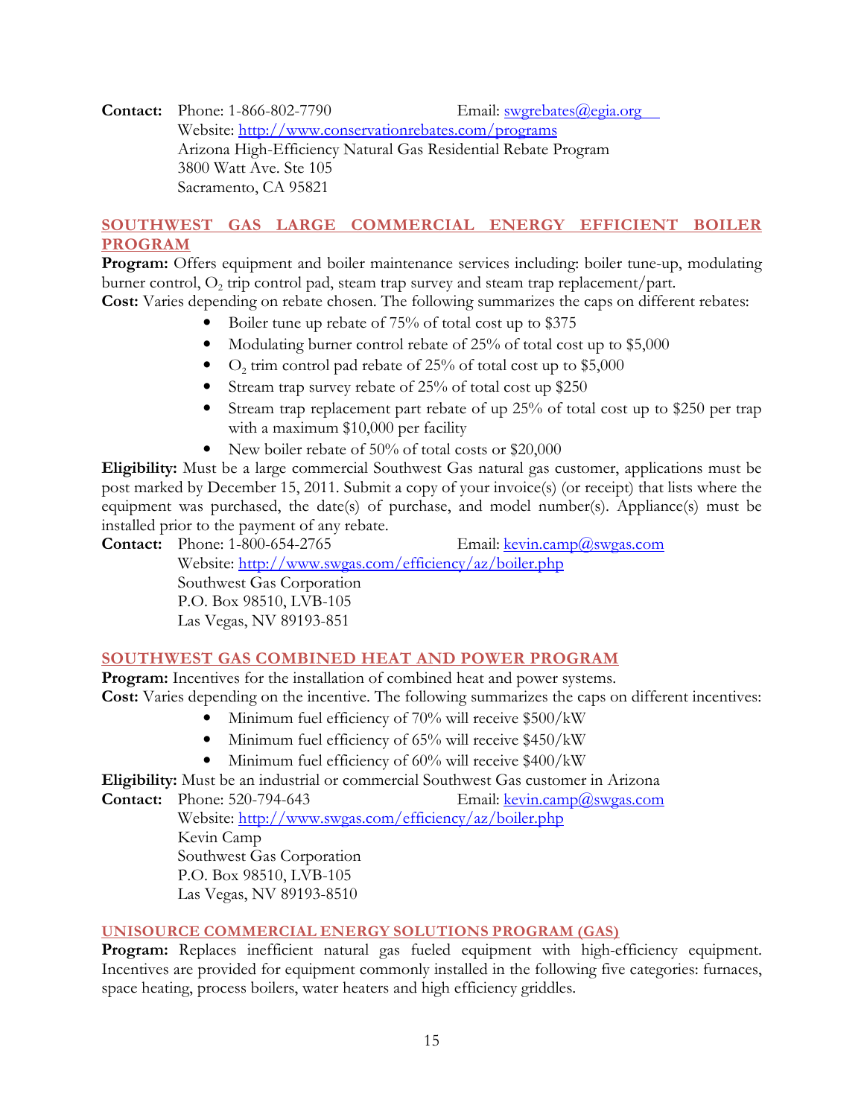Contact: Phone: 1-866-802-7790 Email: swgrebates@egia.org Website: http://www.conservationrebates.com/programs Arizona High-Efficiency Natural Gas Residential Rebate Program 3800 Watt Ave. Ste 105 Sacramento, CA 95821

# SOUTHWEST GAS LARGE COMMERCIAL ENERGY EFFICIENT BOILER PROGRAM

Program: Offers equipment and boiler maintenance services including: boiler tune-up, modulating burner control,  $O_2$  trip control pad, steam trap survey and steam trap replacement/part.

Cost: Varies depending on rebate chosen. The following summarizes the caps on different rebates:

- Boiler tune up rebate of 75% of total cost up to \$375
- Modulating burner control rebate of 25% of total cost up to \$5,000
- $O_2$  trim control pad rebate of 25% of total cost up to \$5,000
- Stream trap survey rebate of 25% of total cost up \$250
- Stream trap replacement part rebate of up 25% of total cost up to \$250 per trap with a maximum \$10,000 per facility
- New boiler rebate of 50% of total costs or \$20,000

Eligibility: Must be a large commercial Southwest Gas natural gas customer, applications must be post marked by December 15, 2011. Submit a copy of your invoice(s) (or receipt) that lists where the equipment was purchased, the date(s) of purchase, and model number(s). Appliance(s) must be installed prior to the payment of any rebate.

Contact: Phone: 1-800-654-2765 Email: kevin.camp@swgas.com

 Website: http://www.swgas.com/efficiency/az/boiler.php Southwest Gas Corporation P.O. Box 98510, LVB-105 Las Vegas, NV 89193-851

# SOUTHWEST GAS COMBINED HEAT AND POWER PROGRAM

Program: Incentives for the installation of combined heat and power systems. Cost: Varies depending on the incentive. The following summarizes the caps on different incentives:

- Minimum fuel efficiency of 70% will receive \$500/kW
- Minimum fuel efficiency of 65% will receive \$450/kW
- Minimum fuel efficiency of 60% will receive \$400/kW

Eligibility: Must be an industrial or commercial Southwest Gas customer in Arizona

Contact: Phone: 520-794-643 Email: kevin.camp@swgas.com

 Website: http://www.swgas.com/efficiency/az/boiler.php Kevin Camp Southwest Gas Corporation P.O. Box 98510, LVB-105 Las Vegas, NV 89193-8510

# UNISOURCE COMMERCIAL ENERGY SOLUTIONS PROGRAM (GAS)

Program: Replaces inefficient natural gas fueled equipment with high-efficiency equipment. Incentives are provided for equipment commonly installed in the following five categories: furnaces, space heating, process boilers, water heaters and high efficiency griddles.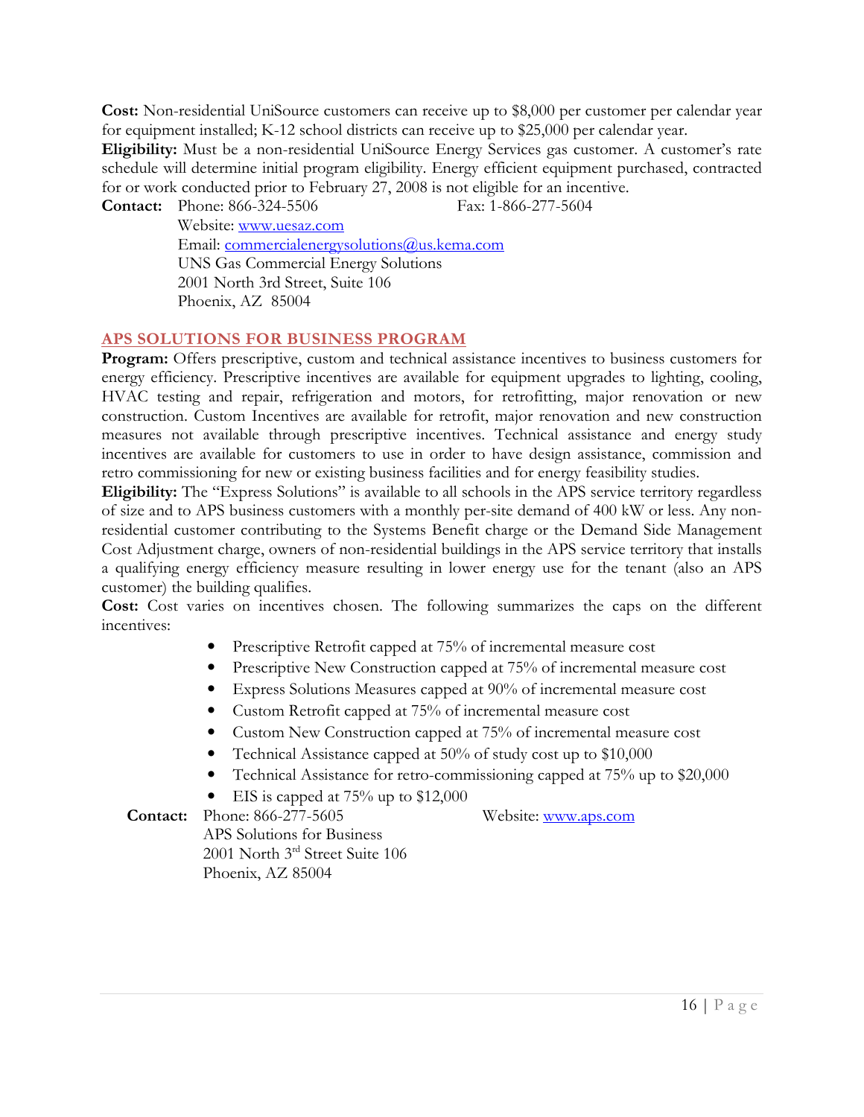Cost: Non-residential UniSource customers can receive up to \$8,000 per customer per calendar year for equipment installed; K-12 school districts can receive up to \$25,000 per calendar year.

Eligibility: Must be a non-residential UniSource Energy Services gas customer. A customer's rate schedule will determine initial program eligibility. Energy efficient equipment purchased, contracted for or work conducted prior to February 27, 2008 is not eligible for an incentive.

**Contact:** Phone: 866-324-5506 Fax: 1-866-277-5604

Website: www.uesaz.com Email: commercialenergysolutions@us.kema.com UNS Gas Commercial Energy Solutions 2001 North 3rd Street, Suite 106 Phoenix, AZ 85004

#### APS SOLUTIONS FOR BUSINESS PROGRAM

Program: Offers prescriptive, custom and technical assistance incentives to business customers for energy efficiency. Prescriptive incentives are available for equipment upgrades to lighting, cooling, HVAC testing and repair, refrigeration and motors, for retrofitting, major renovation or new construction. Custom Incentives are available for retrofit, major renovation and new construction measures not available through prescriptive incentives. Technical assistance and energy study incentives are available for customers to use in order to have design assistance, commission and retro commissioning for new or existing business facilities and for energy feasibility studies.

Eligibility: The "Express Solutions" is available to all schools in the APS service territory regardless of size and to APS business customers with a monthly per-site demand of 400 kW or less. Any nonresidential customer contributing to the Systems Benefit charge or the Demand Side Management Cost Adjustment charge, owners of non-residential buildings in the APS service territory that installs a qualifying energy efficiency measure resulting in lower energy use for the tenant (also an APS customer) the building qualifies.

Cost: Cost varies on incentives chosen. The following summarizes the caps on the different incentives:

- Prescriptive Retrofit capped at 75% of incremental measure cost
- Prescriptive New Construction capped at 75% of incremental measure cost
- Express Solutions Measures capped at 90% of incremental measure cost
- Custom Retrofit capped at 75% of incremental measure cost
- Custom New Construction capped at 75% of incremental measure cost
- Technical Assistance capped at 50% of study cost up to \$10,000
- Technical Assistance for retro-commissioning capped at 75% up to \$20,000
- EIS is capped at  $75\%$  up to \$12,000

Contact: Phone: 866-277-5605 Website: www.aps.com

 APS Solutions for Business 2001 North 3rd Street Suite 106 Phoenix, AZ 85004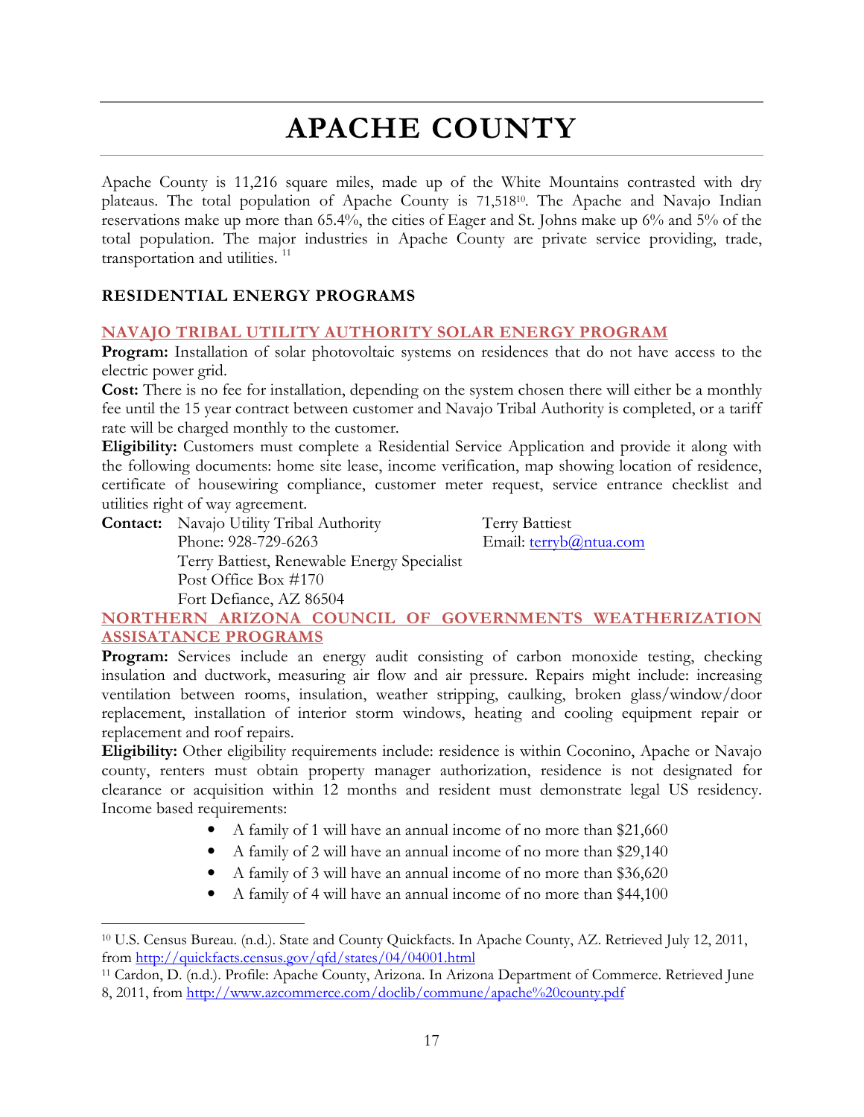# APACHE COUNTY

Apache County is 11,216 square miles, made up of the White Mountains contrasted with dry plateaus. The total population of Apache County is 71,518<sup>10</sup> . The Apache and Navajo Indian reservations make up more than 65.4%, the cities of Eager and St. Johns make up 6% and 5% of the total population. The major industries in Apache County are private service providing, trade, transportation and utilities.<sup>11</sup>

# RESIDENTIAL ENERGY PROGRAMS

#### NAVAJO TRIBAL UTILITY AUTHORITY SOLAR ENERGY PROGRAM

Program: Installation of solar photovoltaic systems on residences that do not have access to the electric power grid.

Cost: There is no fee for installation, depending on the system chosen there will either be a monthly fee until the 15 year contract between customer and Navajo Tribal Authority is completed, or a tariff rate will be charged monthly to the customer.

Eligibility: Customers must complete a Residential Service Application and provide it along with the following documents: home site lease, income verification, map showing location of residence, certificate of housewiring compliance, customer meter request, service entrance checklist and utilities right of way agreement.

Contact: Navajo Utility Tribal Authority Terry Battiest Phone: 928-729-6263 Email: terryb@ntua.com Terry Battiest, Renewable Energy Specialist Post Office Box #170 Fort Defiance, AZ 86504

NORTHERN ARIZONA COUNCIL OF GOVERNMENTS WEATHERIZATION ASSISATANCE PROGRAMS

Program: Services include an energy audit consisting of carbon monoxide testing, checking insulation and ductwork, measuring air flow and air pressure. Repairs might include: increasing ventilation between rooms, insulation, weather stripping, caulking, broken glass/window/door replacement, installation of interior storm windows, heating and cooling equipment repair or replacement and roof repairs.

Eligibility: Other eligibility requirements include: residence is within Coconino, Apache or Navajo county, renters must obtain property manager authorization, residence is not designated for clearance or acquisition within 12 months and resident must demonstrate legal US residency. Income based requirements:

- A family of 1 will have an annual income of no more than \$21,660
- A family of 2 will have an annual income of no more than \$29,140
- A family of 3 will have an annual income of no more than \$36,620
- A family of 4 will have an annual income of no more than \$44,100

<sup>10</sup> U.S. Census Bureau. (n.d.). State and County Quickfacts. In Apache County, AZ. Retrieved July 12, 2011, from http://quickfacts.census.gov/qfd/states/04/04001.html

<sup>11</sup> Cardon, D. (n.d.). Profile: Apache County, Arizona. In Arizona Department of Commerce. Retrieved June 8, 2011, from http://www.azcommerce.com/doclib/commune/apache%20county.pdf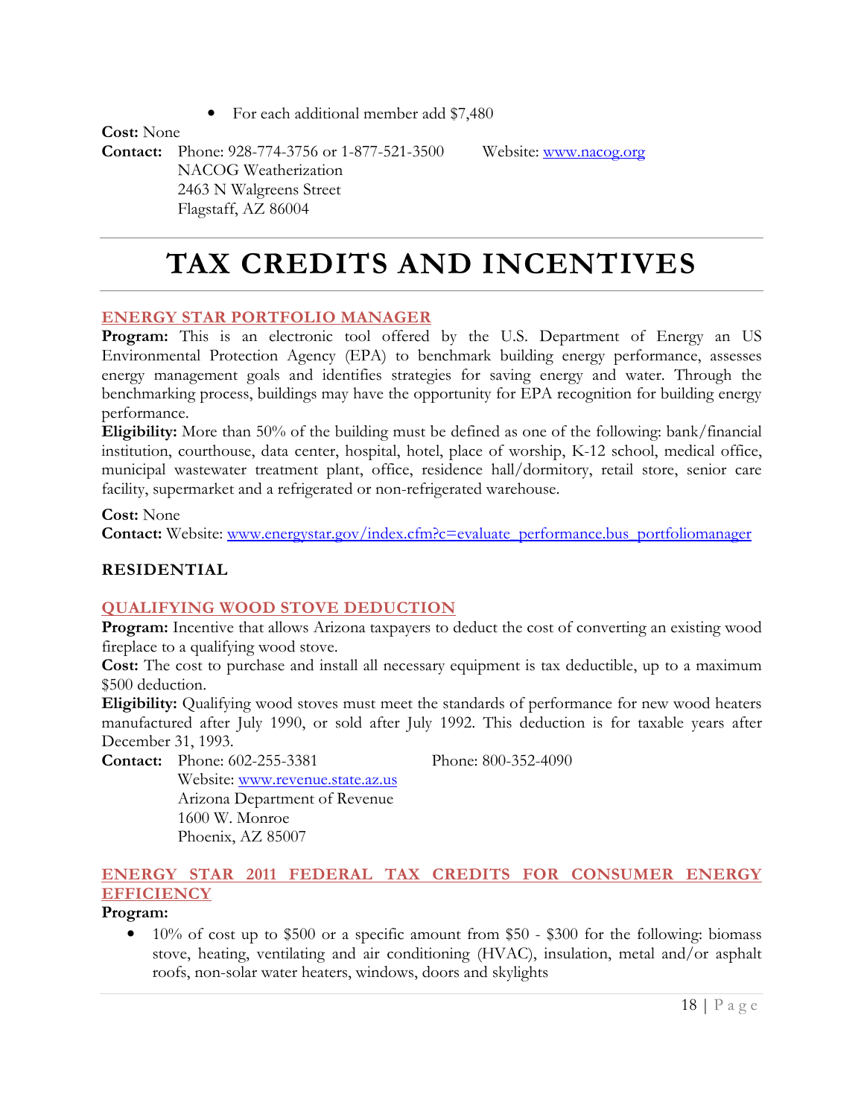• For each additional member add \$7,480

Cost: None

**Contact:** Phone: 928-774-3756 or 1-877-521-3500 Website: www.nacog.org NACOG Weatherization 2463 N Walgreens Street Flagstaff, AZ 86004

# TAX CREDITS AND INCENTIVES

#### ENERGY STAR PORTFOLIO MANAGER

Program: This is an electronic tool offered by the U.S. Department of Energy an US Environmental Protection Agency (EPA) to benchmark building energy performance, assesses energy management goals and identifies strategies for saving energy and water. Through the benchmarking process, buildings may have the opportunity for EPA recognition for building energy performance.

Eligibility: More than 50% of the building must be defined as one of the following: bank/financial institution, courthouse, data center, hospital, hotel, place of worship, K-12 school, medical office, municipal wastewater treatment plant, office, residence hall/dormitory, retail store, senior care facility, supermarket and a refrigerated or non-refrigerated warehouse.

Cost: None

Contact: Website: www.energystar.gov/index.cfm?c=evaluate\_performance.bus\_portfoliomanager

#### RESIDENTIAL

#### QUALIFYING WOOD STOVE DEDUCTION

Program: Incentive that allows Arizona taxpayers to deduct the cost of converting an existing wood fireplace to a qualifying wood stove.

Cost: The cost to purchase and install all necessary equipment is tax deductible, up to a maximum \$500 deduction.

Eligibility: Qualifying wood stoves must meet the standards of performance for new wood heaters manufactured after July 1990, or sold after July 1992. This deduction is for taxable years after December 31, 1993.

**Contact:** Phone: 602-255-3381 Phone: 800-352-4090

 Website: www.revenue.state.az.us Arizona Department of Revenue 1600 W. Monroe Phoenix, AZ 85007

#### ENERGY STAR 2011 FEDERAL TAX CREDITS FOR CONSUMER ENERGY **EFFICIENCY**

#### Program:

• 10% of cost up to \$500 or a specific amount from \$50 - \$300 for the following: biomass stove, heating, ventilating and air conditioning (HVAC), insulation, metal and/or asphalt roofs, non-solar water heaters, windows, doors and skylights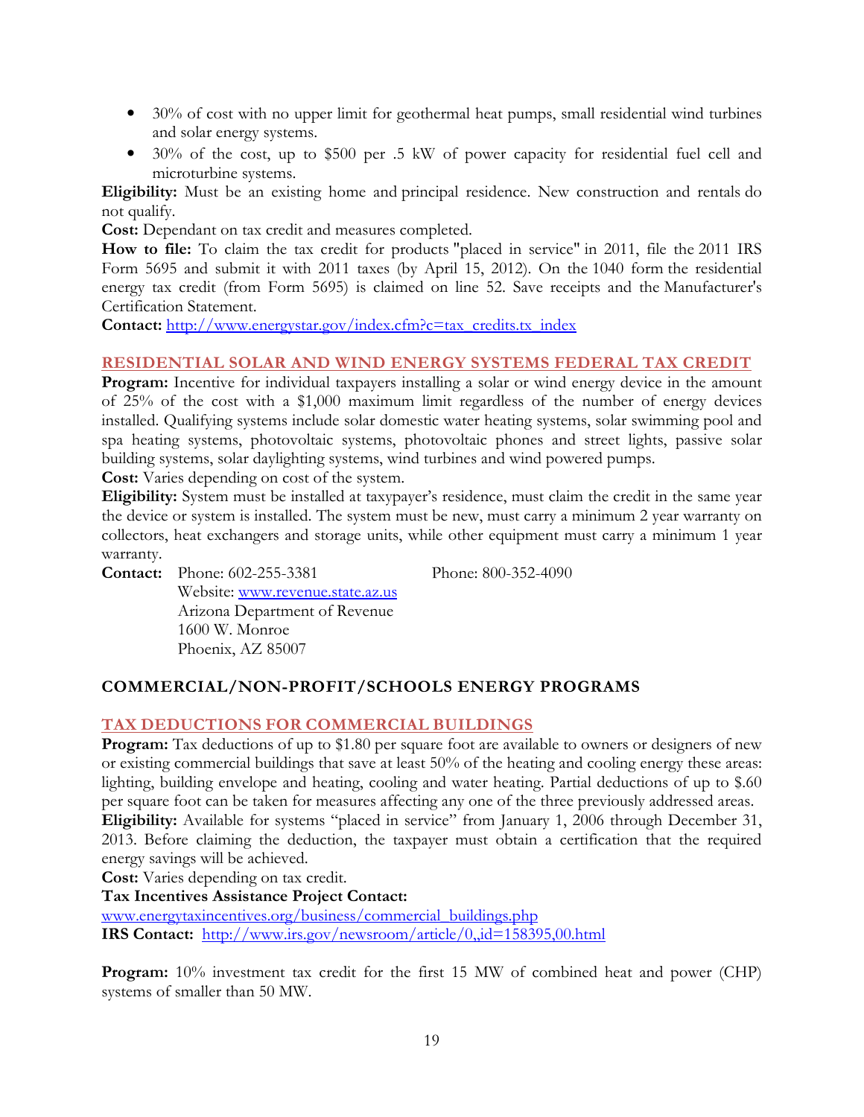- 30% of cost with no upper limit for geothermal heat pumps, small residential wind turbines and solar energy systems.
- 30% of the cost, up to \$500 per .5 kW of power capacity for residential fuel cell and microturbine systems.

Eligibility: Must be an existing home and principal residence. New construction and rentals do not qualify.

Cost: Dependant on tax credit and measures completed.

How to file: To claim the tax credit for products "placed in service" in 2011, file the 2011 IRS Form 5695 and submit it with 2011 taxes (by April 15, 2012). On the 1040 form the residential energy tax credit (from Form 5695) is claimed on line 52. Save receipts and the Manufacturer's Certification Statement.

Contact: http://www.energystar.gov/index.cfm?c=tax\_credits.tx\_index

#### RESIDENTIAL SOLAR AND WIND ENERGY SYSTEMS FEDERAL TAX CREDIT

Program: Incentive for individual taxpayers installing a solar or wind energy device in the amount of 25% of the cost with a \$1,000 maximum limit regardless of the number of energy devices installed. Qualifying systems include solar domestic water heating systems, solar swimming pool and spa heating systems, photovoltaic systems, photovoltaic phones and street lights, passive solar building systems, solar daylighting systems, wind turbines and wind powered pumps.

Cost: Varies depending on cost of the system.

Eligibility: System must be installed at taxypayer's residence, must claim the credit in the same year the device or system is installed. The system must be new, must carry a minimum 2 year warranty on collectors, heat exchangers and storage units, while other equipment must carry a minimum 1 year warranty.

**Contact:** Phone: 602-255-3381 Phone: 800-352-4090

 Website: www.revenue.state.az.us Arizona Department of Revenue 1600 W. Monroe Phoenix, AZ 85007

#### COMMERCIAL/NON-PROFIT/SCHOOLS ENERGY PROGRAMS

#### TAX DEDUCTIONS FOR COMMERCIAL BUILDINGS

**Program:** Tax deductions of up to \$1.80 per square foot are available to owners or designers of new or existing commercial buildings that save at least 50% of the heating and cooling energy these areas: lighting, building envelope and heating, cooling and water heating. Partial deductions of up to \$.60 per square foot can be taken for measures affecting any one of the three previously addressed areas. Eligibility: Available for systems "placed in service" from January 1, 2006 through December 31, 2013. Before claiming the deduction, the taxpayer must obtain a certification that the required energy savings will be achieved.

Cost: Varies depending on tax credit.

#### Tax Incentives Assistance Project Contact:

www.energytaxincentives.org/business/commercial\_buildings.php IRS Contact: http://www.irs.gov/newsroom/article/0,,id=158395,00.html

Program: 10% investment tax credit for the first 15 MW of combined heat and power (CHP) systems of smaller than 50 MW.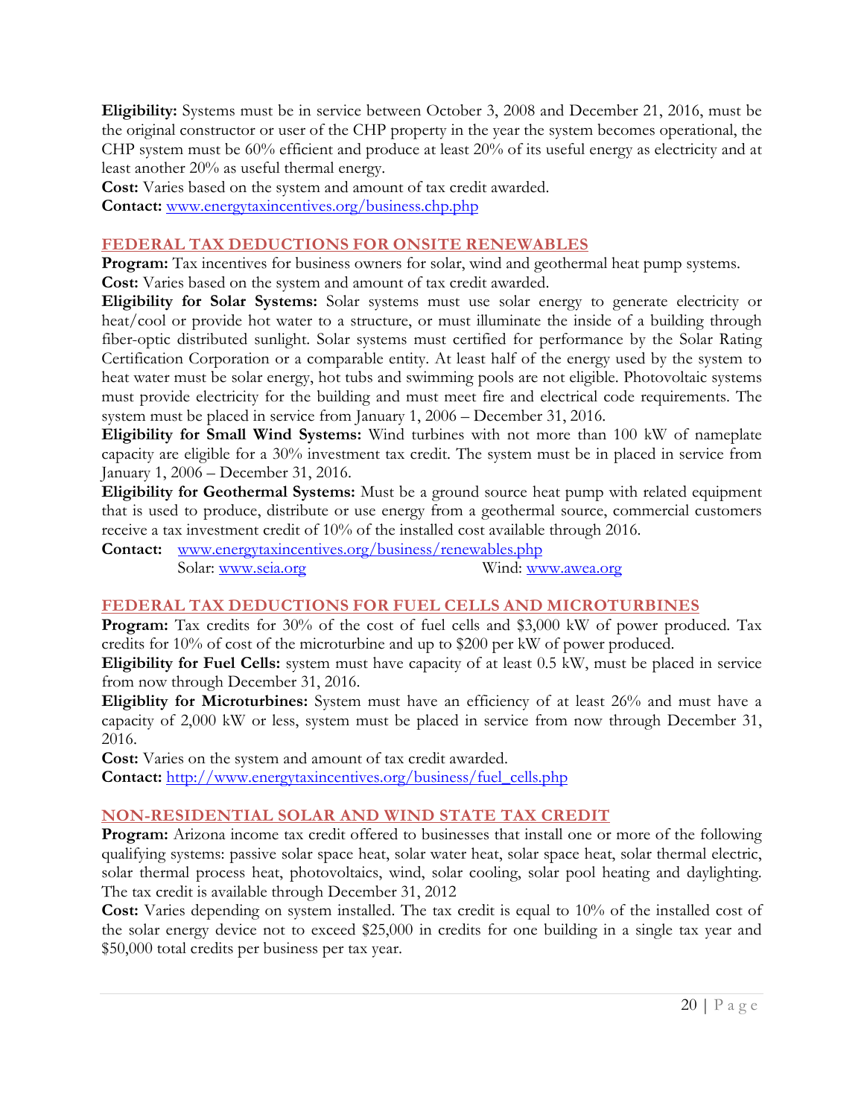Eligibility: Systems must be in service between October 3, 2008 and December 21, 2016, must be the original constructor or user of the CHP property in the year the system becomes operational, the CHP system must be 60% efficient and produce at least 20% of its useful energy as electricity and at least another 20% as useful thermal energy.

Cost: Varies based on the system and amount of tax credit awarded. Contact: www.energytaxincentives.org/business.chp.php

# FEDERAL TAX DEDUCTIONS FOR ONSITE RENEWABLES

Program: Tax incentives for business owners for solar, wind and geothermal heat pump systems. Cost: Varies based on the system and amount of tax credit awarded.

Eligibility for Solar Systems: Solar systems must use solar energy to generate electricity or heat/cool or provide hot water to a structure, or must illuminate the inside of a building through fiber-optic distributed sunlight. Solar systems must certified for performance by the Solar Rating Certification Corporation or a comparable entity. At least half of the energy used by the system to heat water must be solar energy, hot tubs and swimming pools are not eligible. Photovoltaic systems must provide electricity for the building and must meet fire and electrical code requirements. The system must be placed in service from January 1, 2006 – December 31, 2016.

Eligibility for Small Wind Systems: Wind turbines with not more than 100 kW of nameplate capacity are eligible for a 30% investment tax credit. The system must be in placed in service from January 1, 2006 – December 31, 2016.

Eligibility for Geothermal Systems: Must be a ground source heat pump with related equipment that is used to produce, distribute or use energy from a geothermal source, commercial customers receive a tax investment credit of 10% of the installed cost available through 2016.

Contact: www.energytaxincentives.org/business/renewables.php<br>Solar: www.seia.org Wind: ww

Wind: www.awea.org

# FEDERAL TAX DEDUCTIONS FOR FUEL CELLS AND MICROTURBINES

Program: Tax credits for 30% of the cost of fuel cells and \$3,000 kW of power produced. Tax credits for 10% of cost of the microturbine and up to \$200 per kW of power produced.

Eligibility for Fuel Cells: system must have capacity of at least 0.5 kW, must be placed in service from now through December 31, 2016.

Eligiblity for Microturbines: System must have an efficiency of at least 26% and must have a capacity of 2,000 kW or less, system must be placed in service from now through December 31, 2016.

Cost: Varies on the system and amount of tax credit awarded.

Contact: http://www.energytaxincentives.org/business/fuel\_cells.php

# NON-RESIDENTIAL SOLAR AND WIND STATE TAX CREDIT

Program: Arizona income tax credit offered to businesses that install one or more of the following qualifying systems: passive solar space heat, solar water heat, solar space heat, solar thermal electric, solar thermal process heat, photovoltaics, wind, solar cooling, solar pool heating and daylighting. The tax credit is available through December 31, 2012

Cost: Varies depending on system installed. The tax credit is equal to 10% of the installed cost of the solar energy device not to exceed \$25,000 in credits for one building in a single tax year and \$50,000 total credits per business per tax year.